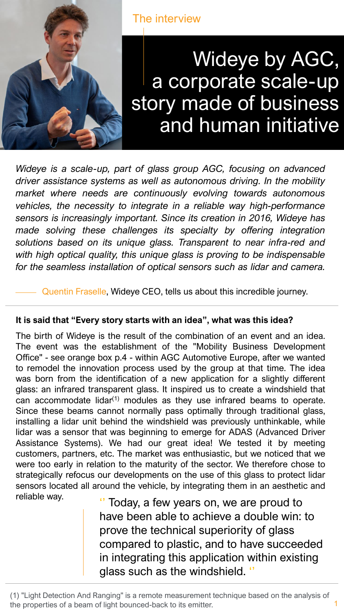

The interview

# Wideye by AGC, a corporate scale-up story made of business and human initiative

*Wideye is a scale-up, part of glass group AGC, focusing on advanced driver assistance systems as well as autonomous driving. In the mobility market where needs are continuously evolving towards autonomous vehicles, the necessity to integrate in a reliable way high-performance sensors is increasingly important. Since its creation in 2016, Wideye has made solving these challenges its specialty by offering integration solutions based on its unique glass. Transparent to near infra-red and with high optical quality, this unique glass is proving to be indispensable for the seamless installation of optical sensors such as lidar and camera.*

Quentin Fraselle, Wideye CEO, tells us about this incredible journey.

## **It is said that "Every story starts with an idea", what was this idea?**

The birth of Wideye is the result of the combination of an event and an idea. The event was the establishment of the "Mobility Business Development Office" - see orange box p.4 - within AGC Automotive Europe, after we wanted to remodel the innovation process used by the group at that time. The idea was born from the identification of a new application for a slightly different glass: an infrared transparent glass. It inspired us to create a windshield that can accommodate lidar<sup>(1)</sup> modules as they use infrared beams to operate. Since these beams cannot normally pass optimally through traditional glass, installing a lidar unit behind the windshield was previously unthinkable, while lidar was a sensor that was beginning to emerge for ADAS (Advanced Driver Assistance Systems). We had our great idea! We tested it by meeting customers, partners, etc. The market was enthusiastic, but we noticed that we were too early in relation to the maturity of the sector. We therefore chose to strategically refocus our developments on the use of this glass to protect lidar sensors located all around the vehicle, by integrating them in an aesthetic and reliable way.

Today, a few years on, we are proud to have been able to achieve a double win: to prove the technical superiority of glass compared to plastic, and to have succeeded in integrating this application within existing glass such as the windshield.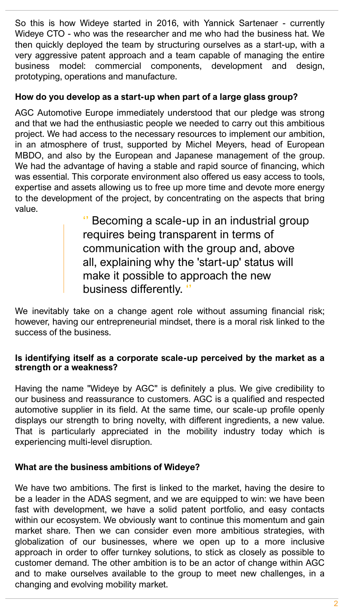So this is how Wideye started in 2016, with Yannick Sartenaer - currently Wideye CTO - who was the researcher and me who had the business hat. We then quickly deployed the team by structuring ourselves as a start-up, with a very aggressive patent approach and a team capable of managing the entire business model: commercial components, development and design, prototyping, operations and manufacture.

## **How do you develop as a start-up when part of a large glass group?**

AGC Automotive Europe immediately understood that our pledge was strong and that we had the enthusiastic people we needed to carry out this ambitious project. We had access to the necessary resources to implement our ambition, in an atmosphere of trust, supported by Michel Meyers, head of European MBDO, and also by the European and Japanese management of the group. We had the advantage of having a stable and rapid source of financing, which was essential. This corporate environment also offered us easy access to tools, expertise and assets allowing us to free up more time and devote more energy to the development of the project, by concentrating on the aspects that bring value.

> '' Becoming a scale-up in an industrial group requires being transparent in terms of communication with the group and, above all, explaining why the 'start-up' status will make it possible to approach the new business differently.

We inevitably take on a change agent role without assuming financial risk; however, having our entrepreneurial mindset, there is a moral risk linked to the success of the business.

#### **Is identifying itself as a corporate scale-up perceived by the market as a strength or a weakness?**

Having the name "Wideye by AGC" is definitely a plus. We give credibility to our business and reassurance to customers. AGC is a qualified and respected automotive supplier in its field. At the same time, our scale-up profile openly displays our strength to bring novelty, with different ingredients, a new value. That is particularly appreciated in the mobility industry today which is experiencing multi-level disruption.

## **What are the business ambitions of Wideye?**

We have two ambitions. The first is linked to the market, having the desire to be a leader in the ADAS segment, and we are equipped to win: we have been fast with development, we have a solid patent portfolio, and easy contacts within our ecosystem. We obviously want to continue this momentum and gain market share. Then we can consider even more ambitious strategies, with globalization of our businesses, where we open up to a more inclusive approach in order to offer turnkey solutions, to stick as closely as possible to customer demand. The other ambition is to be an actor of change within AGC and to make ourselves available to the group to meet new challenges, in a changing and evolving mobility market.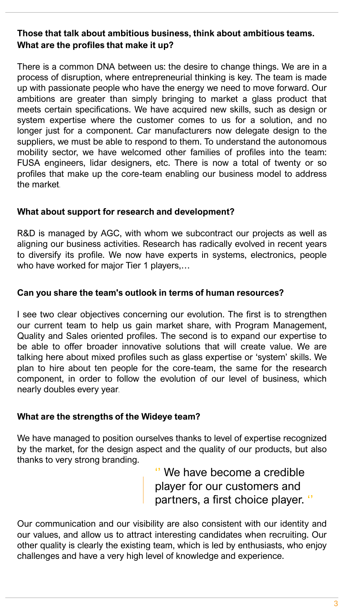# **Those that talk about ambitious business, think about ambitious teams. What are the profiles that make it up?**

There is a common DNA between us: the desire to change things. We are in a process of disruption, where entrepreneurial thinking is key. The team is made up with passionate people who have the energy we need to move forward. Our ambitions are greater than simply bringing to market a glass product that meets certain specifications. We have acquired new skills, such as design or system expertise where the customer comes to us for a solution, and no longer just for a component. Car manufacturers now delegate design to the suppliers, we must be able to respond to them. To understand the autonomous mobility sector, we have welcomed other families of profiles into the team: FUSA engineers, lidar designers, etc. There is now a total of twenty or so profiles that make up the core-team enabling our business model to address the market.

## **What about support for research and development?**

R&D is managed by AGC, with whom we subcontract our projects as well as aligning our business activities. Research has radically evolved in recent years to diversify its profile. We now have experts in systems, electronics, people who have worked for major Tier 1 players,...

#### **Can you share the team's outlook in terms of human resources?**

I see two clear objectives concerning our evolution. The first is to strengthen our current team to help us gain market share, with Program Management, Quality and Sales oriented profiles. The second is to expand our expertise to be able to offer broader innovative solutions that will create value. We are talking here about mixed profiles such as glass expertise or 'system' skills. We plan to hire about ten people for the core-team, the same for the research component, in order to follow the evolution of our level of business, which nearly doubles every year.

## **What are the strengths of the Wideye team?**

We have managed to position ourselves thanks to level of expertise recognized by the market, for the design aspect and the quality of our products, but also thanks to very strong branding.

> '' We have become a credible player for our customers and partners, a first choice player. ''

Our communication and our visibility are also consistent with our identity and our values, and allow us to attract interesting candidates when recruiting. Our other quality is clearly the existing team, which is led by enthusiasts, who enjoy challenges and have a very high level of knowledge and experience.